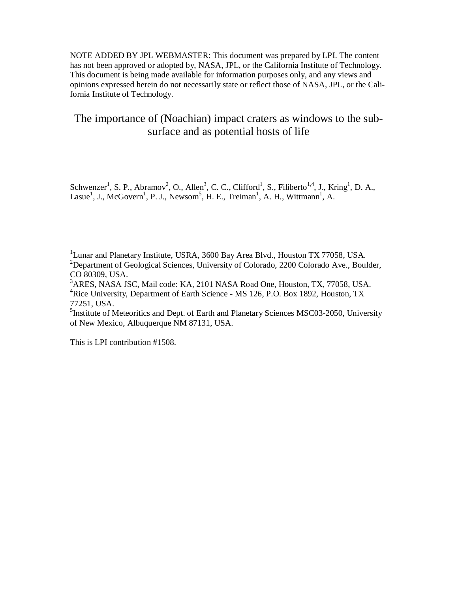NOTE ADDED BY JPL WEBMASTER: This document was prepared by LPI. The content has not been approved or adopted by, NASA, JPL, or the California Institute of Technology. This document is being made available for information purposes only, and any views and opinions expressed herein do not necessarily state or reflect those of NASA, JPL, or the California Institute of Technology.

# The importance of (Noachian) impact craters as windows to the subsurface and as potential hosts of life

Schwenzer<sup>1</sup>, S. P., Abramov<sup>2</sup>, O., Allen<sup>3</sup>, C. C., Clifford<sup>1</sup>, S., Filiberto<sup>1,4</sup>, J., Kring<sup>1</sup>, D. A., Lasue<sup>1</sup>, J., McGovern<sup>1</sup>, P. J., Newsom<sup>5</sup>, H. E., Treiman<sup>1</sup>, A. H., Wittmann<sup>1</sup>, A.

<sup>1</sup>Lunar and Planetary Institute, USRA, 3600 Bay Area Blvd., Houston TX 77058, USA.  $2D$ epartment of Geological Sciences, University of Colorado, 2200 Colorado Ave., Boulder, CO 80309, USA.

<sup>3</sup>ARES, NASA JSC, Mail code: KA, 2101 NASA Road One, Houston, TX, 77058, USA. <sup>4</sup>Rice University, Department of Earth Science - MS 126, P.O. Box 1892, Houston, TX 77251, USA.

<sup>5</sup>Institute of Meteoritics and Dept. of Earth and Planetary Sciences MSC03-2050, University of New Mexico, Albuquerque NM 87131, USA.

This is LPI contribution #1508.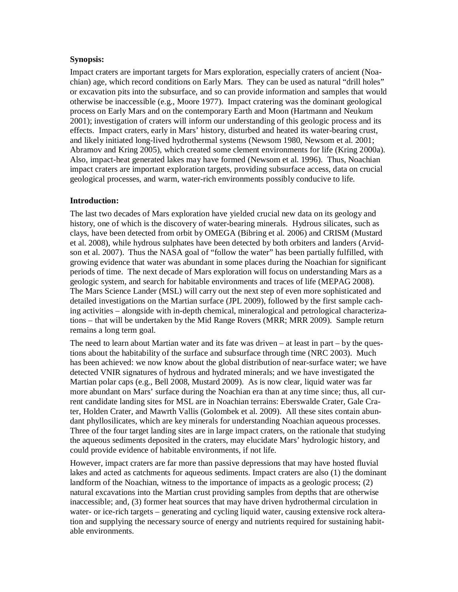# **Synopsis:**

Impact craters are important targets for Mars exploration, especially craters of ancient (Noachian) age, which record conditions on Early Mars. They can be used as natural "drill holes" or excavation pits into the subsurface, and so can provide information and samples that would otherwise be inaccessible (e.g., Moore 1977). Impact cratering was the dominant geological process on Early Mars and on the contemporary Earth and Moon (Hartmann and Neukum 2001); investigation of craters will inform our understanding of this geologic process and its effects. Impact craters, early in Mars' history, disturbed and heated its water-bearing crust, and likely initiated long-lived hydrothermal systems (Newsom 1980, Newsom et al. 2001; Abramov and Kring 2005), which created some clement environments for life (Kring 2000a). Also, impact-heat generated lakes may have formed (Newsom et al. 1996). Thus, Noachian impact craters are important exploration targets, providing subsurface access, data on crucial geological processes, and warm, water-rich environments possibly conducive to life.

# **Introduction:**

The last two decades of Mars exploration have yielded crucial new data on its geology and history, one of which is the discovery of water-bearing minerals. Hydrous silicates, such as clays, have been detected from orbit by OMEGA (Bibring et al. 2006) and CRISM (Mustard et al. 2008), while hydrous sulphates have been detected by both orbiters and landers (Arvidson et al. 2007). Thus the NASA goal of "follow the water" has been partially fulfilled, with growing evidence that water was abundant in some places during the Noachian for significant periods of time. The next decade of Mars exploration will focus on understanding Mars as a geologic system, and search for habitable environments and traces of life (MEPAG 2008). The Mars Science Lander (MSL) will carry out the next step of even more sophisticated and detailed investigations on the Martian surface (JPL 2009), followed by the first sample caching activities – alongside with in-depth chemical, mineralogical and petrological characterizations – that will be undertaken by the Mid Range Rovers (MRR; MRR 2009). Sample return remains a long term goal.

The need to learn about Martian water and its fate was driven – at least in part – by the questions about the habitability of the surface and subsurface through time (NRC 2003). Much has been achieved: we now know about the global distribution of near-surface water; we have detected VNIR signatures of hydrous and hydrated minerals; and we have investigated the Martian polar caps (e.g., Bell 2008, Mustard 2009). As is now clear, liquid water was far more abundant on Mars' surface during the Noachian era than at any time since; thus, all current candidate landing sites for MSL are in Noachian terrains: Eberswalde Crater, Gale Crater, Holden Crater, and Mawrth Vallis (Golombek et al. 2009). All these sites contain abundant phyllosilicates, which are key minerals for understanding Noachian aqueous processes. Three of the four target landing sites are in large impact craters, on the rationale that studying the aqueous sediments deposited in the craters, may elucidate Mars' hydrologic history, and could provide evidence of habitable environments, if not life.

However, impact craters are far more than passive depressions that may have hosted fluvial lakes and acted as catchments for aqueous sediments. Impact craters are also (1) the dominant landform of the Noachian, witness to the importance of impacts as a geologic process; (2) natural excavations into the Martian crust providing samples from depths that are otherwise inaccessible; and, (3) former heat sources that may have driven hydrothermal circulation in water- or ice-rich targets – generating and cycling liquid water, causing extensive rock alteration and supplying the necessary source of energy and nutrients required for sustaining habitable environments.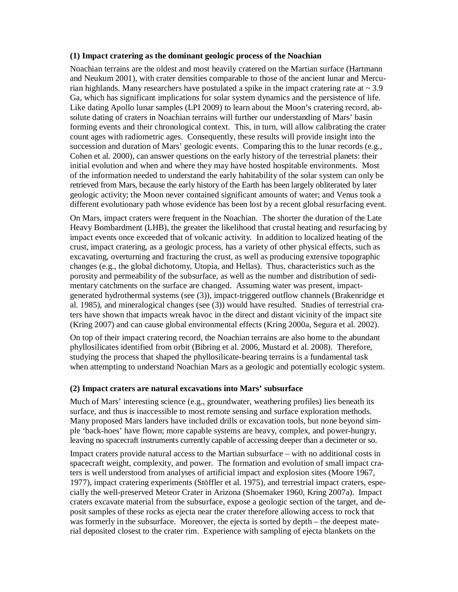### **(1) Impact cratering as the dominant geologic process of the Noachian**

Noachian terrains are the oldest and most heavily cratered on the Martian surface (Hartmann and Neukum 2001), with crater densities comparable to those of the ancient lunar and Mercurian highlands. Many researchers have postulated a spike in the impact cratering rate at  $\sim 3.9$ Ga, which has significant implications for solar system dynamics and the persistence of life. Like dating Apollo lunar samples (LPI 2009) to learn about the Moon's cratering record, absolute dating of craters in Noachian terrains will further our understanding of Mars' basin forming events and their chronological context. This, in turn, will allow calibrating the crater count ages with radiometric ages. Consequently, these results will provide insight into the succession and duration of Mars' geologic events. Comparing this to the lunar records (e.g., Cohen et al. 2000), can answer questions on the early history of the terrestrial planets: their initial evolution and when and where they may have hosted hospitable environments. Most of the information needed to understand the early habitability of the solar system can only be retrieved from Mars, because the early history of the Earth has been largely obliterated by later geologic activity; the Moon never contained significant amounts of water; and Venus took a different evolutionary path whose evidence has been lost by a recent global resurfacing event.

On Mars, impact craters were frequent in the Noachian. The shorter the duration of the Late Heavy Bombardment (LHB), the greater the likelihood that crustal heating and resurfacing by impact events once exceeded that of volcanic activity. In addition to localized heating of the crust, impact cratering, as a geologic process, has a variety of other physical effects, such as excavating, overturning and fracturing the crust, as well as producing extensive topographic changes (e.g., the global dichotomy, Utopia, and Hellas). Thus, characteristics such as the porosity and permeability of the subsurface, as well as the number and distribution of sedimentary catchments on the surface are changed. Assuming water was present, impactgenerated hydrothermal systems (see (3)), impact-triggered outflow channels (Brakenridge et al. 1985), and mineralogical changes (see (3)) would have resulted. Studies of terrestrial craters have shown that impacts wreak havoc in the direct and distant vicinity of the impact site (Kring 2007) and can cause global environmental effects (Kring 2000a, Segura et al. 2002).

On top of their impact cratering record, the Noachian terrains are also home to the abundant phyllosilicates identified from orbit (Bibring et al. 2006, Mustard et al. 2008). Therefore, studying the process that shaped the phyllosilicate-bearing terrains is a fundamental task when attempting to understand Noachian Mars as a geologic and potentially ecologic system.

### **(2) Impact craters are natural excavations into Mars' subsurface**

Much of Mars' interesting science (e.g., groundwater, weathering profiles) lies beneath its surface, and thus is inaccessible to most remote sensing and surface exploration methods. Many proposed Mars landers have included drills or excavation tools, but none beyond simple 'back-hoes' have flown; more capable systems are heavy, complex, and power-hungry, leaving no spacecraft instruments currently capable of accessing deeper than a decimeter or so.

Impact craters provide natural access to the Martian subsurface – with no additional costs in spacecraft weight, complexity, and power. The formation and evolution of small impact craters is well understood from analyses of artificial impact and explosion sites (Moore 1967, 1977), impact cratering experiments (Stöffler et al. 1975), and terrestrial impact craters, especially the well-preserved Meteor Crater in Arizona (Shoemaker 1960, Kring 2007a). Impact craters excavate material from the subsurface, expose a geologic section of the target, and deposit samples of these rocks as ejecta near the crater therefore allowing access to rock that was formerly in the subsurface. Moreover, the ejecta is sorted by depth – the deepest material deposited closest to the crater rim. Experience with sampling of ejecta blankets on the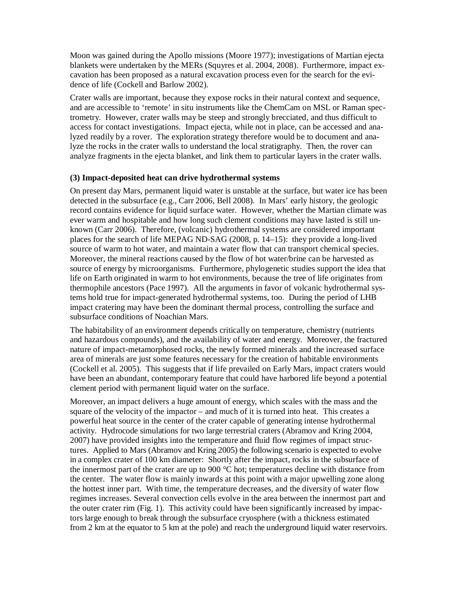Moon was gained during the Apollo missions (Moore 1977); investigations of Martian ejecta blankets were undertaken by the MERs (Squyres et al. 2004, 2008). Furthermore, impact excavation has been proposed as a natural excavation process even for the search for the evidence of life (Cockell and Barlow 2002).

Crater walls are important, because they expose rocks in their natural context and sequence, and are accessible to 'remote' in situ instruments like the ChemCam on MSL or Raman spectrometry. However, crater walls may be steep and strongly brecciated, and thus difficult to access for contact investigations. Impact ejecta, while not in place, can be accessed and analyzed readily by a rover. The exploration strategy therefore would be to document and analyze the rocks in the crater walls to understand the local stratigraphy. Then, the rover can analyze fragments in the ejecta blanket, and link them to particular layers in the crater walls.

#### **(3) Impact-deposited heat can drive hydrothermal systems**

On present day Mars, permanent liquid water is unstable at the surface, but water ice has been detected in the subsurface (e.g., Carr 2006, Bell 2008). In Mars' early history, the geologic record contains evidence for liquid surface water. However, whether the Martian climate was ever warm and hospitable and how long such clement conditions may have lasted is still unknown (Carr 2006). Therefore, (volcanic) hydrothermal systems are considered important places for the search of life MEPAG ND-SAG (2008, p. 14–15): they provide a long-lived source of warm to hot water, and maintain a water flow that can transport chemical species. Moreover, the mineral reactions caused by the flow of hot water/brine can be harvested as source of energy by microorganisms. Furthermore, phylogenetic studies support the idea that life on Earth originated in warm to hot environments, because the tree of life originates from thermophile ancestors (Pace 1997). All the arguments in favor of volcanic hydrothermal systems hold true for impact-generated hydrothermal systems, too. During the period of LHB impact cratering may have been the dominant thermal process, controlling the surface and subsurface conditions of Noachian Mars.

The habitability of an environment depends critically on temperature, chemistry (nutrients and hazardous compounds), and the availability of water and energy. Moreover, the fractured nature of impact-metamorphosed rocks, the newly formed minerals and the increased surface area of minerals are just some features necessary for the creation of habitable environments (Cockell et al. 2005). This suggests that if life prevailed on Early Mars, impact craters would have been an abundant, contemporary feature that could have harbored life beyond a potential clement period with permanent liquid water on the surface.

Moreover, an impact delivers a huge amount of energy, which scales with the mass and the square of the velocity of the impactor – and much of it is turned into heat. This creates a powerful heat source in the center of the crater capable of generating intense hydrothermal activity. Hydrocode simulations for two large terrestrial craters (Abramov and Kring 2004, 2007) have provided insights into the temperature and fluid flow regimes of impact structures. Applied to Mars (Abramov and Kring 2005) the following scenario is expected to evolve in a complex crater of 100 km diameter: Shortly after the impact, rocks in the subsurface of the innermost part of the crater are up to 900  $^{\circ}$ C hot; temperatures decline with distance from the center. The water flow is mainly inwards at this point with a major upwelling zone along the hottest inner part. With time, the temperature decreases, and the diversity of water flow regimes increases. Several convection cells evolve in the area between the innermost part and the outer crater rim (Fig. 1). This activity could have been significantly increased by impactors large enough to break through the subsurface cryosphere (with a thickness estimated from 2 km at the equator to 5 km at the pole) and reach the underground liquid water reservoirs.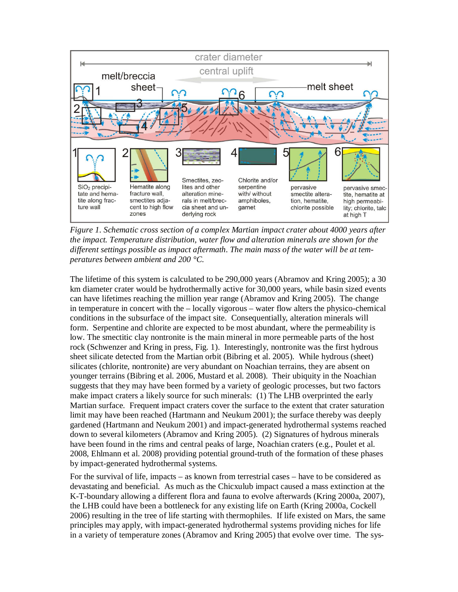

*Figure 1. Schematic cross section of a complex Martian impact crater about 4000 years after the impact. Temperature distribution, water flow and alteration minerals are shown for the different settings possible as impact aftermath. The main mass of the water will be at temperatures between ambient and 200 °C.* 

The lifetime of this system is calculated to be 290,000 years (Abramov and Kring 2005); a 30 km diameter crater would be hydrothermally active for 30,000 years, while basin sized events can have lifetimes reaching the million year range (Abramov and Kring 2005). The change in temperature in concert with the – locally vigorous – water flow alters the physico-chemical conditions in the subsurface of the impact site. Consequentially, alteration minerals will form. Serpentine and chlorite are expected to be most abundant, where the permeability is low. The smectitic clay nontronite is the main mineral in more permeable parts of the host rock (Schwenzer and Kring in press, Fig. 1). Interestingly, nontronite was the first hydrous sheet silicate detected from the Martian orbit (Bibring et al. 2005). While hydrous (sheet) silicates (chlorite, nontronite) are very abundant on Noachian terrains, they are absent on younger terrains (Bibring et al. 2006, Mustard et al. 2008). Their ubiquity in the Noachian suggests that they may have been formed by a variety of geologic processes, but two factors make impact craters a likely source for such minerals: (1) The LHB overprinted the early Martian surface. Frequent impact craters cover the surface to the extent that crater saturation limit may have been reached (Hartmann and Neukum 2001); the surface thereby was deeply gardened (Hartmann and Neukum 2001) and impact-generated hydrothermal systems reached down to several kilometers (Abramov and Kring 2005). (2) Signatures of hydrous minerals have been found in the rims and central peaks of large, Noachian craters (e.g., Poulet et al. 2008, Ehlmann et al. 2008) providing potential ground-truth of the formation of these phases by impact-generated hydrothermal systems.

For the survival of life, impacts – as known from terrestrial cases – have to be considered as devastating and beneficial. As much as the Chicxulub impact caused a mass extinction at the K-T-boundary allowing a different flora and fauna to evolve afterwards (Kring 2000a, 2007), the LHB could have been a bottleneck for any existing life on Earth (Kring 2000a, Cockell 2006) resulting in the tree of life starting with thermophiles. If life existed on Mars, the same principles may apply, with impact-generated hydrothermal systems providing niches for life in a variety of temperature zones (Abramov and Kring 2005) that evolve over time. The sys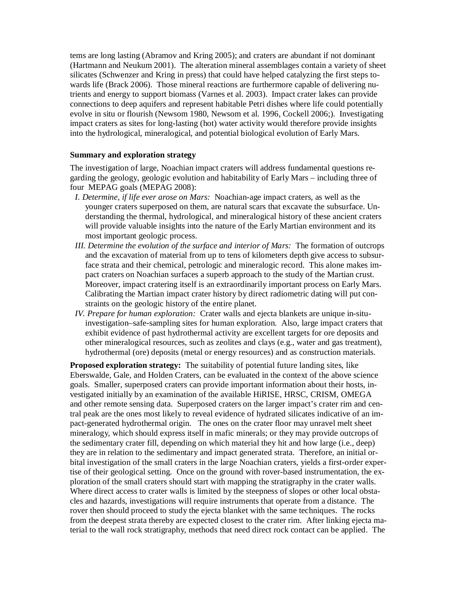tems are long lasting (Abramov and Kring 2005); and craters are abundant if not dominant (Hartmann and Neukum 2001). The alteration mineral assemblages contain a variety of sheet silicates (Schwenzer and Kring in press) that could have helped catalyzing the first steps towards life (Brack 2006). Those mineral reactions are furthermore capable of delivering nutrients and energy to support biomass (Varnes et al. 2003). Impact crater lakes can provide connections to deep aquifers and represent habitable Petri dishes where life could potentially evolve in situ or flourish (Newsom 1980, Newsom et al. 1996, Cockell 2006;). Investigating impact craters as sites for long-lasting (hot) water activity would therefore provide insights into the hydrological, mineralogical, and potential biological evolution of Early Mars.

### **Summary and exploration strategy**

The investigation of large, Noachian impact craters will address fundamental questions regarding the geology, geologic evolution and habitability of Early Mars – including three of four MEPAG goals (MEPAG 2008):

- *I. Determine, if life ever arose on Mars:* Noachian-age impact craters, as well as the younger craters superposed on them, are natural scars that excavate the subsurface. Understanding the thermal, hydrological, and mineralogical history of these ancient craters will provide valuable insights into the nature of the Early Martian environment and its most important geologic process.
- *III. Determine the evolution of the surface and interior of Mars:* The formation of outcrops and the excavation of material from up to tens of kilometers depth give access to subsurface strata and their chemical, petrologic and mineralogic record. This alone makes impact craters on Noachian surfaces a superb approach to the study of the Martian crust. Moreover, impact cratering itself is an extraordinarily important process on Early Mars. Calibrating the Martian impact crater history by direct radiometric dating will put constraints on the geologic history of the entire planet.
- *IV. Prepare for human exploration:* Crater walls and ejecta blankets are unique in-situinvestigation–safe-sampling sites for human exploration. Also, large impact craters that exhibit evidence of past hydrothermal activity are excellent targets for ore deposits and other mineralogical resources, such as zeolites and clays (e.g., water and gas treatment), hydrothermal (ore) deposits (metal or energy resources) and as construction materials.

**Proposed exploration strategy:** The suitability of potential future landing sites, like Eberswalde, Gale, and Holden Craters, can be evaluated in the context of the above science goals. Smaller, superposed craters can provide important information about their hosts, investigated initially by an examination of the available HiRISE, HRSC, CRISM, OMEGA and other remote sensing data. Superposed craters on the larger impact's crater rim and central peak are the ones most likely to reveal evidence of hydrated silicates indicative of an impact-generated hydrothermal origin. The ones on the crater floor may unravel melt sheet mineralogy, which should express itself in mafic minerals; or they may provide outcrops of the sedimentary crater fill, depending on which material they hit and how large (i.e., deep) they are in relation to the sedimentary and impact generated strata. Therefore, an initial orbital investigation of the small craters in the large Noachian craters, yields a first-order expertise of their geological setting. Once on the ground with rover-based instrumentation, the exploration of the small craters should start with mapping the stratigraphy in the crater walls. Where direct access to crater walls is limited by the steepness of slopes or other local obstacles and hazards, investigations will require instruments that operate from a distance. The rover then should proceed to study the ejecta blanket with the same techniques. The rocks from the deepest strata thereby are expected closest to the crater rim. After linking ejecta material to the wall rock stratigraphy, methods that need direct rock contact can be applied. The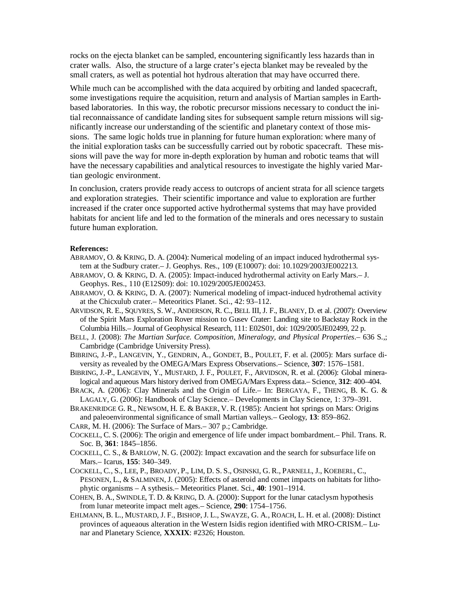rocks on the ejecta blanket can be sampled, encountering significantly less hazards than in crater walls. Also, the structure of a large crater's ejecta blanket may be revealed by the small craters, as well as potential hot hydrous alteration that may have occurred there.

While much can be accomplished with the data acquired by orbiting and landed spacecraft, some investigations require the acquisition, return and analysis of Martian samples in Earthbased laboratories. In this way, the robotic precursor missions necessary to conduct the initial reconnaissance of candidate landing sites for subsequent sample return missions will significantly increase our understanding of the scientific and planetary context of those missions. The same logic holds true in planning for future human exploration: where many of the initial exploration tasks can be successfully carried out by robotic spacecraft. These missions will pave the way for more in-depth exploration by human and robotic teams that will have the necessary capabilities and analytical resources to investigate the highly varied Martian geologic environment.

In conclusion, craters provide ready access to outcrops of ancient strata for all science targets and exploration strategies. Their scientific importance and value to exploration are further increased if the crater once supported active hydrothermal systems that may have provided habitats for ancient life and led to the formation of the minerals and ores necessary to sustain future human exploration.

#### **References:**

- ABRAMOV, O. & KRING, D. A. (2004): Numerical modeling of an impact induced hydrothermal system at the Sudbury crater.– J. Geophys. Res., 109 (E10007): doi: 10.1029/2003JE002213.
- ABRAMOV, O. & KRING, D. A. (2005): Impact-induced hydrothermal activity on Early Mars.– J. Geophys. Res., 110 (E12S09): doi: 10.1029/2005JE002453.
- ABRAMOV, O. & KRING, D. A. (2007): Numerical modeling of impact-induced hydrothemal activity at the Chicxulub crater.– Meteoritics Planet. Sci., 42: 93–112.
- ARVIDSON, R. E., SQUYRES, S. W., ANDERSON, R. C., BELL III, J. F., BLANEY, D. et al. (2007): Overview of the Spirit Mars Exploration Rover mission to Gusev Crater: Landing site to Backstay Rock in the Columbia Hills.– Journal of Geophysical Research, 111: E02S01, doi: 1029/2005JE02499, 22 p.
- BELL, J. (2008): *The Martian Surface. Composition, Mineralogy, and Physical Properties*.– 636 S.,; Cambridge (Cambridge University Press).
- BIBRING, J.-P., LANGEVIN, Y., GENDRIN, A., GONDET, B., POULET, F. et al. (2005): Mars surface diversity as revealed by the OMEGA/Mars Express Observations.– Science, **307**: 1576–1581.
- BIBRING, J.-P., LANGEVIN, Y., MUSTARD, J. F., POULET, F., ARVIDSON, R. et al. (2006): Global mineralogical and aqueous Mars history derived from OMEGA/Mars Express data.– Science, **312**: 400–404.
- BRACK, A. (2006): Clay Minerals and the Origin of Life.– In: BERGAYA, F., THENG, B. K. G. & LAGALY, G. (2006): Handbook of Clay Science.– Developments in Clay Science, 1: 379–391.
- BRAKENRIDGE G. R., NEWSOM, H. E. & BAKER, V. R. (1985): Ancient hot springs on Mars: Origins and paleoenvironmental significance of small Martian valleys.– Geology, **13**: 859–862.
- CARR, M. H. (2006): The Surface of Mars.– 307 p.; Cambridge.
- COCKELL, C. S. (2006): The origin and emergence of life under impact bombardment.– Phil. Trans. R. Soc. B, **361**: 1845–1856.
- COCKELL, C. S., & BARLOW, N. G. (2002): Impact excavation and the search for subsurface life on Mars.– Icarus, **155**: 340–349.
- COCKELL, C., S., LEE, P., BROADY, P., LIM, D. S. S., OSINSKI, G. R., PARNELL, J., KOEBERL, C., PESONEN, L., & SALMINEN, J. (2005): Effects of asteroid and comet impacts on habitats for lithophytic organisms – A sythesis.– Meteoritics Planet. Sci., **40**: 1901–1914.
- COHEN, B. A., SWINDLE, T. D. & KRING, D. A. (2000): Support for the lunar cataclysm hypothesis from lunar meteorite impact melt ages.– Science, **290**: 1754–1756.
- EHLMANN, B. L., MUSTARD, J. F., BISHOP, J. L., SWAYZE, G. A., ROACH, L. H. et al. (2008): Distinct provinces of aqueaous alteration in the Western Isidis region identified with MRO-CRISM.– Lunar and Planetary Science, **XXXIX**: #2326; Houston.